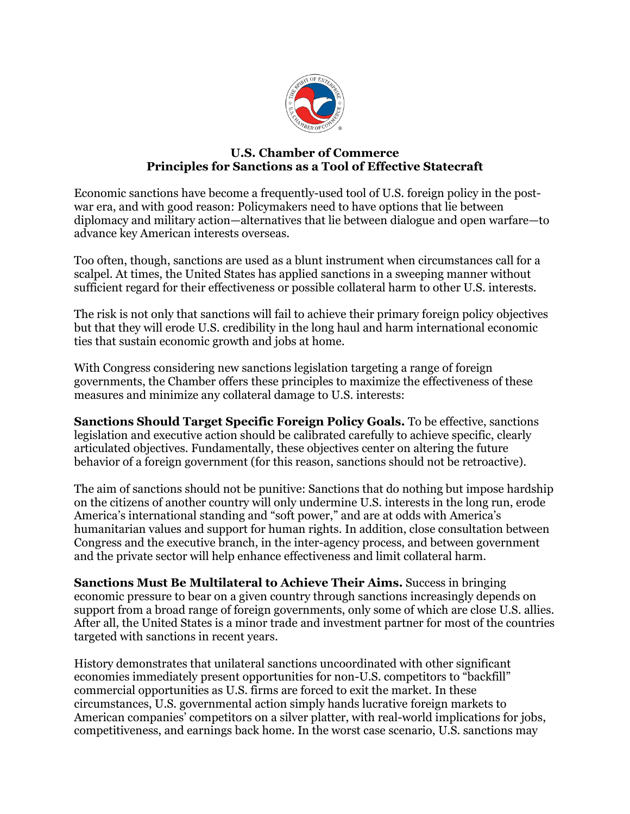

## **U.S. Chamber of Commerce Principles for Sanctions as a Tool of Effective Statecraft**

Economic sanctions have become a frequently-used tool of U.S. foreign policy in the postwar era, and with good reason: Policymakers need to have options that lie between diplomacy and military action—alternatives that lie between dialogue and open warfare—to advance key American interests overseas.

Too often, though, sanctions are used as a blunt instrument when circumstances call for a scalpel. At times, the United States has applied sanctions in a sweeping manner without sufficient regard for their effectiveness or possible collateral harm to other U.S. interests.

The risk is not only that sanctions will fail to achieve their primary foreign policy objectives but that they will erode U.S. credibility in the long haul and harm international economic ties that sustain economic growth and jobs at home.

With Congress considering new sanctions legislation targeting a range of foreign governments, the Chamber offers these principles to maximize the effectiveness of these measures and minimize any collateral damage to U.S. interests:

**Sanctions Should Target Specific Foreign Policy Goals.** To be effective, sanctions legislation and executive action should be calibrated carefully to achieve specific, clearly articulated objectives. Fundamentally, these objectives center on altering the future behavior of a foreign government (for this reason, sanctions should not be retroactive).

The aim of sanctions should not be punitive: Sanctions that do nothing but impose hardship on the citizens of another country will only undermine U.S. interests in the long run, erode America's international standing and "soft power," and are at odds with America's humanitarian values and support for human rights. In addition, close consultation between Congress and the executive branch, in the inter-agency process, and between government and the private sector will help enhance effectiveness and limit collateral harm.

**Sanctions Must Be Multilateral to Achieve Their Aims.** Success in bringing economic pressure to bear on a given country through sanctions increasingly depends on support from a broad range of foreign governments, only some of which are close U.S. allies. After all, the United States is a minor trade and investment partner for most of the countries targeted with sanctions in recent years.

History demonstrates that unilateral sanctions uncoordinated with other significant economies immediately present opportunities for non-U.S. competitors to "backfill" commercial opportunities as U.S. firms are forced to exit the market. In these circumstances, U.S. governmental action simply hands lucrative foreign markets to American companies' competitors on a silver platter, with real-world implications for jobs, competitiveness, and earnings back home. In the worst case scenario, U.S. sanctions may